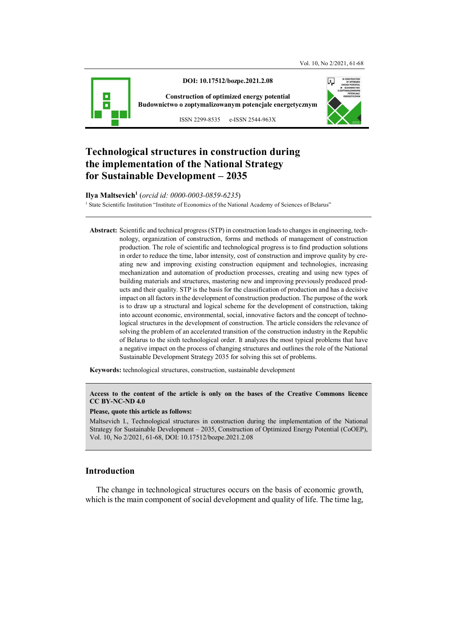

**DOI: 10.17512/bozpe.2021.2.08** 

**Construction of optimized energy potential Budownictwo o zoptymalizowanym potencjale energetycznym**

ISSN 2299-8535 e-ISSN 2544-963X



# **Technological structures in construction during the implementation of the National Strategy for Sustainable Development – 2035**

### **Ilya Maltsevich<sup>1</sup>** (*orcid id: 0000-0003-0859-6235*)

<sup>1</sup> State Scientific Institution "Institute of Economics of the National Academy of Sciences of Belarus"

**Abstract:** Scientific and technical progress (STP) in construction leads to changes in engineering, technology, organization of construction, forms and methods of management of construction production. The role of scientific and technological progress is to find production solutions in order to reduce the time, labor intensity, cost of construction and improve quality by creating new and improving existing construction equipment and technologies, increasing mechanization and automation of production processes, creating and using new types of building materials and structures, mastering new and improving previously produced products and their quality. STP is the basis for the classification of production and has a decisive impact on all factors in the development of construction production. The purpose of the work is to draw up a structural and logical scheme for the development of construction, taking into account economic, environmental, social, innovative factors and the concept of technological structures in the development of construction. The article considers the relevance of solving the problem of an accelerated transition of the construction industry in the Republic of Belarus to the sixth technological order. It analyzes the most typical problems that have a negative impact on the process of changing structures and outlines the role of the National Sustainable Development Strategy 2035 for solving this set of problems.

**Keywords:** technological structures, construction, sustainable development

**Access to the content of the article is only on the bases of the Creative Commons licence CC BY-NC-ND 4.0** 

#### **Please, quote this article as follows:**

Maltsevich I., Technological structures in construction during the implementation of the National Strategy for Sustainable Development – 2035, Construction of Optimized Energy Potential (CoOEP), Vol. 10, No 2/2021, 61-68, DOI: 10.17512/bozpe.2021.2.08

#### **Introduction**

The change in technological structures occurs on the basis of economic growth, which is the main component of social development and quality of life. The time lag,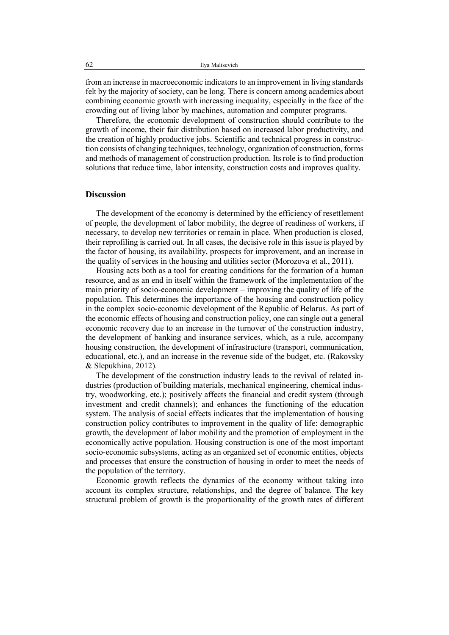from an increase in macroeconomic indicators to an improvement in living standards felt by the majority of society, can be long. There is concern among academics about combining economic growth with increasing inequality, especially in the face of the crowding out of living labor by machines, automation and computer programs.

Therefore, the economic development of construction should contribute to the growth of income, their fair distribution based on increased labor productivity, and the creation of highly productive jobs. Scientific and technical progress in construction consists of changing techniques, technology, organization of construction, forms and methods of management of construction production. Its role is to find production solutions that reduce time, labor intensity, construction costs and improves quality.

#### **Discussion**

The development of the economy is determined by the efficiency of resettlement of people, the development of labor mobility, the degree of readiness of workers, if necessary, to develop new territories or remain in place. When production is closed, their reprofiling is carried out. In all cases, the decisive role in this issue is played by the factor of housing, its availability, prospects for improvement, and an increase in the quality of services in the housing and utilities sector (Morozova et al., 2011).

Housing acts both as a tool for creating conditions for the formation of a human resource, and as an end in itself within the framework of the implementation of the main priority of socio-economic development – improving the quality of life of the population. This determines the importance of the housing and construction policy in the complex socio-economic development of the Republic of Belarus. As part of the economic effects of housing and construction policy, one can single out a general economic recovery due to an increase in the turnover of the construction industry, the development of banking and insurance services, which, as a rule, accompany housing construction, the development of infrastructure (transport, communication, educational, etc.), and an increase in the revenue side of the budget, etc. (Rakovsky & Slepukhina, 2012).

The development of the construction industry leads to the revival of related industries (production of building materials, mechanical engineering, chemical industry, woodworking, etc.); positively affects the financial and credit system (through investment and credit channels); and enhances the functioning of the education system. The analysis of social effects indicates that the implementation of housing construction policy contributes to improvement in the quality of life: demographic growth, the development of labor mobility and the promotion of employment in the economically active population. Housing construction is one of the most important socio-economic subsystems, acting as an organized set of economic entities, objects and processes that ensure the construction of housing in order to meet the needs of the population of the territory.

Economic growth reflects the dynamics of the economy without taking into account its complex structure, relationships, and the degree of balance. The key structural problem of growth is the proportionality of the growth rates of different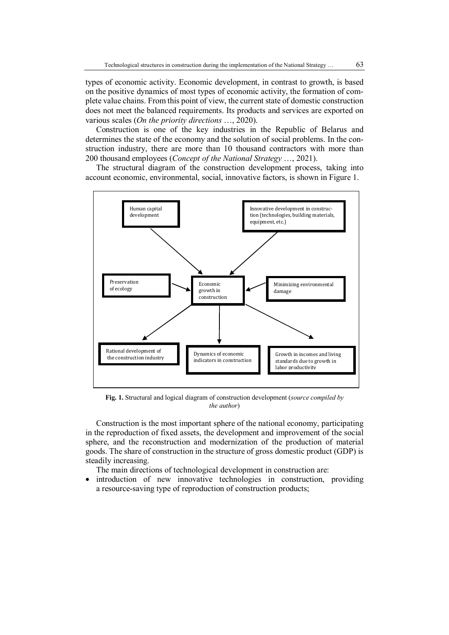types of economic activity. Economic development, in contrast to growth, is based on the positive dynamics of most types of economic activity, the formation of complete value chains. From this point of view, the current state of domestic construction does not meet the balanced requirements. Its products and services are exported on various scales (*On the priority directions* …, 2020).

Construction is one of the key industries in the Republic of Belarus and determines the state of the economy and the solution of social problems. In the construction industry, there are more than 10 thousand contractors with more than 200 thousand employees (*Concept of the National Strategy* …, 2021).

The structural diagram of the construction development process, taking into account economic, environmental, social, innovative factors, is shown in Figure 1.



**Fig. 1.** Structural and logical diagram of construction development (*source compiled by the author*)

Construction is the most important sphere of the national economy, participating in the reproduction of fixed assets, the development and improvement of the social sphere, and the reconstruction and modernization of the production of material goods. The share of construction in the structure of gross domestic product (GDP) is steadily increasing.

The main directions of technological development in construction are:

 introduction of new innovative technologies in construction, providing a resource-saving type of reproduction of construction products;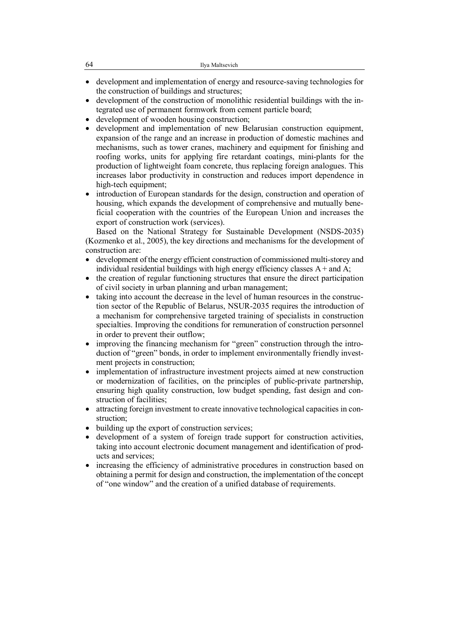- development and implementation of energy and resource-saving technologies for the construction of buildings and structures;
- development of the construction of monolithic residential buildings with the integrated use of permanent formwork from cement particle board;
- development of wooden housing construction;
- development and implementation of new Belarusian construction equipment, expansion of the range and an increase in production of domestic machines and mechanisms, such as tower cranes, machinery and equipment for finishing and roofing works, units for applying fire retardant coatings, mini-plants for the production of lightweight foam concrete, thus replacing foreign analogues. This increases labor productivity in construction and reduces import dependence in high-tech equipment;
- introduction of European standards for the design, construction and operation of housing, which expands the development of comprehensive and mutually beneficial cooperation with the countries of the European Union and increases the export of construction work (services).

Based on the National Strategy for Sustainable Development (NSDS-2035) (Kozmenko et al., 2005), the key directions and mechanisms for the development of construction are:

- development of the energy efficient construction of commissioned multi-storey and individual residential buildings with high energy efficiency classes  $A +$  and  $A$ ;
- the creation of regular functioning structures that ensure the direct participation of civil society in urban planning and urban management;
- taking into account the decrease in the level of human resources in the construction sector of the Republic of Belarus, NSUR-2035 requires the introduction of a mechanism for comprehensive targeted training of specialists in construction specialties. Improving the conditions for remuneration of construction personnel in order to prevent their outflow;
- improving the financing mechanism for "green" construction through the introduction of "green" bonds, in order to implement environmentally friendly investment projects in construction;
- implementation of infrastructure investment projects aimed at new construction or modernization of facilities, on the principles of public-private partnership, ensuring high quality construction, low budget spending, fast design and construction of facilities;
- attracting foreign investment to create innovative technological capacities in construction;
- building up the export of construction services;
- development of a system of foreign trade support for construction activities, taking into account electronic document management and identification of products and services;
- increasing the efficiency of administrative procedures in construction based on obtaining a permit for design and construction, the implementation of the concept of "one window" and the creation of a unified database of requirements.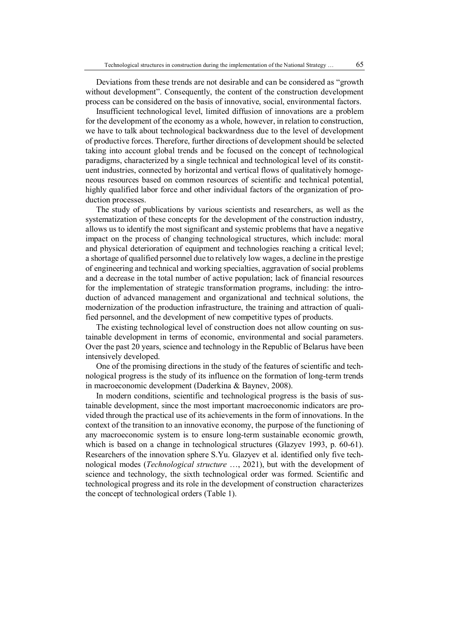Deviations from these trends are not desirable and can be considered as "growth without development". Consequently, the content of the construction development process can be considered on the basis of innovative, social, environmental factors.

Insufficient technological level, limited diffusion of innovations are a problem for the development of the economy as a whole, however, in relation to construction, we have to talk about technological backwardness due to the level of development of productive forces. Therefore, further directions of development should be selected taking into account global trends and be focused on the concept of technological paradigms, characterized by a single technical and technological level of its constituent industries, connected by horizontal and vertical flows of qualitatively homogeneous resources based on common resources of scientific and technical potential, highly qualified labor force and other individual factors of the organization of production processes.

The study of publications by various scientists and researchers, as well as the systematization of these concepts for the development of the construction industry, allows us to identify the most significant and systemic problems that have a negative impact on the process of changing technological structures, which include: moral and physical deterioration of equipment and technologies reaching a critical level; a shortage of qualified personnel due to relatively low wages, a decline in the prestige of engineering and technical and working specialties, aggravation of social problems and a decrease in the total number of active population; lack of financial resources for the implementation of strategic transformation programs, including: the introduction of advanced management and organizational and technical solutions, the modernization of the production infrastructure, the training and attraction of qualified personnel, and the development of new competitive types of products.

The existing technological level of construction does not allow counting on sustainable development in terms of economic, environmental and social parameters. Over the past 20 years, science and technology in the Republic of Belarus have been intensively developed.

One of the promising directions in the study of the features of scientific and technological progress is the study of its influence on the formation of long-term trends in macroeconomic development (Daderkina & Baynev, 2008).

In modern conditions, scientific and technological progress is the basis of sustainable development, since the most important macroeconomic indicators are provided through the practical use of its achievements in the form of innovations. In the context of the transition to an innovative economy, the purpose of the functioning of any macroeconomic system is to ensure long-term sustainable economic growth, which is based on a change in technological structures (Glazyev 1993, p. 60-61). Researchers of the innovation sphere S.Yu. Glazyev et al. identified only five technological modes (*Technological structure* …, 2021), but with the development of science and technology, the sixth technological order was formed. Scientific and technological progress and its role in the development of construction characterizes the concept of technological orders (Table 1).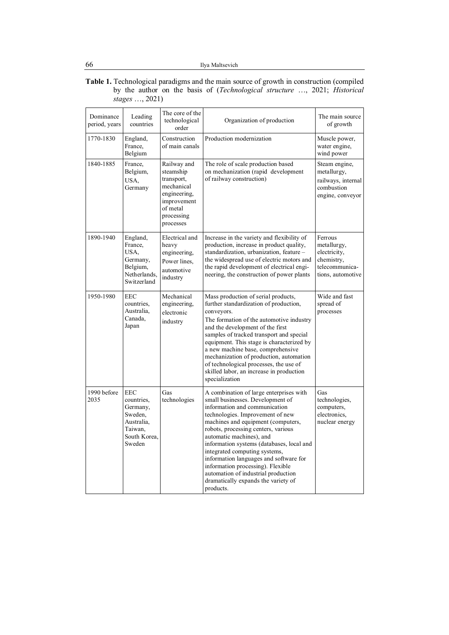#### **Table 1.** Technological paradigms and the main source of growth in construction (compiled by the author on the basis of (*Technological structure* …, 2021; *Historical stages* …, 2021)

| Dominance<br>period, years | Leading<br>countries                                                                               | The core of the<br>technological<br>order                                                                                  | Organization of production                                                                                                                                                                                                                                                                                                                                                                                                                                                                                        | The main source<br>of growth                                                                |
|----------------------------|----------------------------------------------------------------------------------------------------|----------------------------------------------------------------------------------------------------------------------------|-------------------------------------------------------------------------------------------------------------------------------------------------------------------------------------------------------------------------------------------------------------------------------------------------------------------------------------------------------------------------------------------------------------------------------------------------------------------------------------------------------------------|---------------------------------------------------------------------------------------------|
| 1770-1830                  | England,<br>France,<br>Belgium                                                                     | Construction<br>of main canals                                                                                             | Production modernization                                                                                                                                                                                                                                                                                                                                                                                                                                                                                          | Muscle power,<br>water engine,<br>wind power                                                |
| 1840-1885                  | France,<br>Belgium,<br>USA,<br>Germany                                                             | Railway and<br>steamship<br>transport,<br>mechanical<br>engineering,<br>improvement<br>of metal<br>processing<br>processes | The role of scale production based<br>on mechanization (rapid development<br>of railway construction)                                                                                                                                                                                                                                                                                                                                                                                                             | Steam engine,<br>metallurgy,<br>railways, internal<br>combustion<br>engine, conveyor        |
| 1890-1940                  | England,<br>France,<br>USA,<br>Germany,<br>Belgium,<br>Netherlands.<br>Switzerland                 | Electrical and<br>heavy<br>engineering,<br>Power lines.<br>automotive<br>industry                                          | Increase in the variety and flexibility of<br>production, increase in product quality,<br>standardization, urbanization, feature -<br>the widespread use of electric motors and<br>the rapid development of electrical engi-<br>neering, the construction of power plants                                                                                                                                                                                                                                         | Ferrous<br>metallurgy,<br>electricity,<br>chemistry,<br>telecommunica-<br>tions, automotive |
| 1950-1980                  | <b>EEC</b><br>countries.<br>Australia,<br>Canada,<br>Japan                                         | Mechanical<br>engineering,<br>electronic<br>industry                                                                       | Mass production of serial products,<br>further standardization of production,<br>conveyors.<br>The formation of the automotive industry<br>and the development of the first<br>samples of tracked transport and special<br>equipment. This stage is characterized by<br>a new machine base, comprehensive<br>mechanization of production, automation<br>of technological processes, the use of<br>skilled labor, an increase in production<br>specialization                                                      | Wide and fast<br>spread of<br>processes                                                     |
| 1990 before<br>2035        | <b>EEC</b><br>countries,<br>Germany,<br>Sweden.<br>Australia,<br>Taiwan,<br>South Korea.<br>Sweden | Gas<br>technologies                                                                                                        | A combination of large enterprises with<br>small businesses. Development of<br>information and communication<br>technologies. Improvement of new<br>machines and equipment (computers,<br>robots, processing centers, various<br>automatic machines), and<br>information systems (databases, local and<br>integrated computing systems,<br>information languages and software for<br>information processing). Flexible<br>automation of industrial production<br>dramatically expands the variety of<br>products. | Gas<br>technologies,<br>computers,<br>electronics.<br>nuclear energy                        |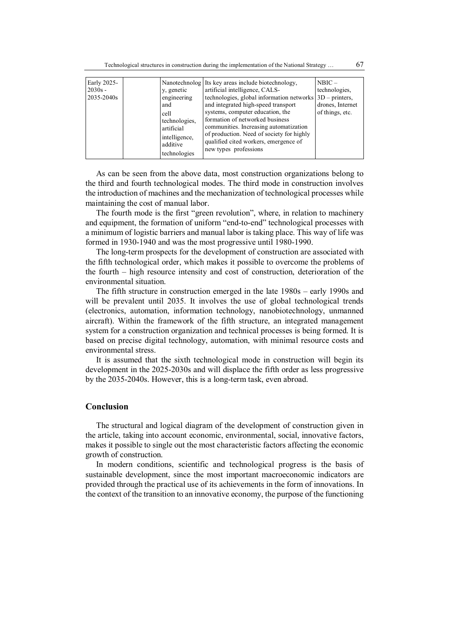| Early 2025- |  |               | Nanotechnolog Its key areas include biotechnology,          | $NBIC -$         |
|-------------|--|---------------|-------------------------------------------------------------|------------------|
| $2030s -$   |  | y, genetic    | artificial intelligence, CALS-                              | technologies,    |
| 2035-2040s  |  | engineering   | technologies, global information networks $ 3D -$ printers, |                  |
|             |  | and           | and integrated high-speed transport                         | drones, Internet |
|             |  | cell          | systems, computer education, the                            | of things, etc.  |
|             |  | technologies, | formation of networked business                             |                  |
|             |  | artificial    | communities. Increasing automatization                      |                  |
|             |  | intelligence, | of production. Need of society for highly                   |                  |
|             |  | additive      | qualified cited workers, emergence of                       |                  |
|             |  |               | new types professions                                       |                  |
|             |  | technologies  |                                                             |                  |

As can be seen from the above data, most construction organizations belong to the third and fourth technological modes. The third mode in construction involves the introduction of machines and the mechanization of technological processes while maintaining the cost of manual labor.

The fourth mode is the first "green revolution", where, in relation to machinery and equipment, the formation of uniform "end-to-end" technological processes with a minimum of logistic barriers and manual labor is taking place. This way of life was formed in 1930-1940 and was the most progressive until 1980-1990.

The long-term prospects for the development of construction are associated with the fifth technological order, which makes it possible to overcome the problems of the fourth – high resource intensity and cost of construction, deterioration of the environmental situation.

The fifth structure in construction emerged in the late 1980s – early 1990s and will be prevalent until 2035. It involves the use of global technological trends (electronics, automation, information technology, nanobiotechnology, unmanned aircraft). Within the framework of the fifth structure, an integrated management system for a construction organization and technical processes is being formed. It is based on precise digital technology, automation, with minimal resource costs and environmental stress.

It is assumed that the sixth technological mode in construction will begin its development in the 2025-2030s and will displace the fifth order as less progressive by the 2035-2040s. However, this is a long-term task, even abroad.

#### **Conclusion**

The structural and logical diagram of the development of construction given in the article, taking into account economic, environmental, social, innovative factors, makes it possible to single out the most characteristic factors affecting the economic growth of construction.

In modern conditions, scientific and technological progress is the basis of sustainable development, since the most important macroeconomic indicators are provided through the practical use of its achievements in the form of innovations. In the context of the transition to an innovative economy, the purpose of the functioning